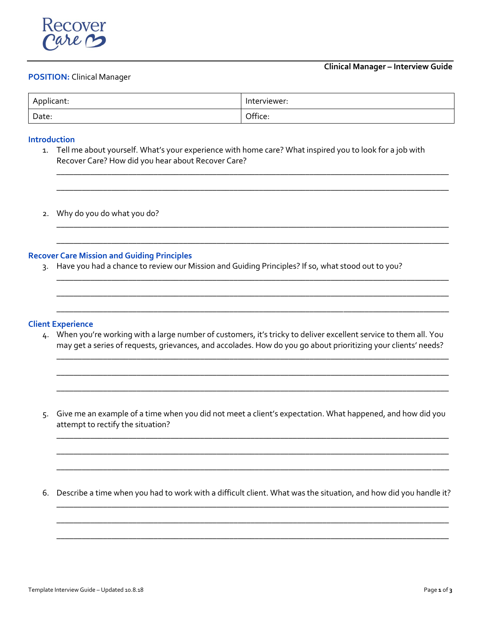

### **POSITION:** Clinical Manager

| Applicant: | Interviewer: |
|------------|--------------|
| Date:      | Office:      |

#### **Introduction**

1. Tell me about yourself. What's your experience with home care? What inspired you to look for a job with Recover Care? How did you hear about Recover Care?

\_\_\_\_\_\_\_\_\_\_\_\_\_\_\_\_\_\_\_\_\_\_\_\_\_\_\_\_\_\_\_\_\_\_\_\_\_\_\_\_\_\_\_\_\_\_\_\_\_\_\_\_\_\_\_\_\_\_\_\_\_\_\_\_\_\_\_\_\_\_\_\_\_\_\_\_\_\_\_\_\_\_\_\_\_\_\_\_\_\_\_\_\_

\_\_\_\_\_\_\_\_\_\_\_\_\_\_\_\_\_\_\_\_\_\_\_\_\_\_\_\_\_\_\_\_\_\_\_\_\_\_\_\_\_\_\_\_\_\_\_\_\_\_\_\_\_\_\_\_\_\_\_\_\_\_\_\_\_\_\_\_\_\_\_\_\_\_\_\_\_\_\_\_\_\_\_\_\_\_\_\_\_\_\_\_\_

\_\_\_\_\_\_\_\_\_\_\_\_\_\_\_\_\_\_\_\_\_\_\_\_\_\_\_\_\_\_\_\_\_\_\_\_\_\_\_\_\_\_\_\_\_\_\_\_\_\_\_\_\_\_\_\_\_\_\_\_\_\_\_\_\_\_\_\_\_\_\_\_\_\_\_\_\_\_\_\_\_\_\_\_\_\_\_\_\_\_\_\_\_

\_\_\_\_\_\_\_\_\_\_\_\_\_\_\_\_\_\_\_\_\_\_\_\_\_\_\_\_\_\_\_\_\_\_\_\_\_\_\_\_\_\_\_\_\_\_\_\_\_\_\_\_\_\_\_\_\_\_\_\_\_\_\_\_\_\_\_\_\_\_\_\_\_\_\_\_\_\_\_\_\_\_\_\_\_\_\_\_\_\_\_\_\_

\_\_\_\_\_\_\_\_\_\_\_\_\_\_\_\_\_\_\_\_\_\_\_\_\_\_\_\_\_\_\_\_\_\_\_\_\_\_\_\_\_\_\_\_\_\_\_\_\_\_\_\_\_\_\_\_\_\_\_\_\_\_\_\_\_\_\_\_\_\_\_\_\_\_\_\_\_\_\_\_\_\_\_\_\_\_\_\_\_\_\_\_\_

\_\_\_\_\_\_\_\_\_\_\_\_\_\_\_\_\_\_\_\_\_\_\_\_\_\_\_\_\_\_\_\_\_\_\_\_\_\_\_\_\_\_\_\_\_\_\_\_\_\_\_\_\_\_\_\_\_\_\_\_\_\_\_\_\_\_\_\_\_\_\_\_\_\_\_\_\_\_\_\_\_\_\_\_\_\_\_\_\_\_\_\_\_

\_\_\_\_\_\_\_\_\_\_\_\_\_\_\_\_\_\_\_\_\_\_\_\_\_\_\_\_\_\_\_\_\_\_\_\_\_\_\_\_\_\_\_\_\_\_\_\_\_\_\_\_\_\_\_\_\_\_\_\_\_\_\_\_\_\_\_\_\_\_\_\_\_\_\_\_\_\_\_\_\_\_\_\_\_\_\_\_\_\_\_\_\_

\_\_\_\_\_\_\_\_\_\_\_\_\_\_\_\_\_\_\_\_\_\_\_\_\_\_\_\_\_\_\_\_\_\_\_\_\_\_\_\_\_\_\_\_\_\_\_\_\_\_\_\_\_\_\_\_\_\_\_\_\_\_\_\_\_\_\_\_\_\_\_\_\_\_\_\_\_\_\_\_\_\_\_\_\_\_\_\_\_\_\_\_\_

\_\_\_\_\_\_\_\_\_\_\_\_\_\_\_\_\_\_\_\_\_\_\_\_\_\_\_\_\_\_\_\_\_\_\_\_\_\_\_\_\_\_\_\_\_\_\_\_\_\_\_\_\_\_\_\_\_\_\_\_\_\_\_\_\_\_\_\_\_\_\_\_\_\_\_\_\_\_\_\_\_\_\_\_\_\_\_\_\_\_\_\_\_

\_\_\_\_\_\_\_\_\_\_\_\_\_\_\_\_\_\_\_\_\_\_\_\_\_\_\_\_\_\_\_\_\_\_\_\_\_\_\_\_\_\_\_\_\_\_\_\_\_\_\_\_\_\_\_\_\_\_\_\_\_\_\_\_\_\_\_\_\_\_\_\_\_\_\_\_\_\_\_\_\_\_\_\_\_\_\_\_\_\_\_\_\_

\_\_\_\_\_\_\_\_\_\_\_\_\_\_\_\_\_\_\_\_\_\_\_\_\_\_\_\_\_\_\_\_\_\_\_\_\_\_\_\_\_\_\_\_\_\_\_\_\_\_\_\_\_\_\_\_\_\_\_\_\_\_\_\_\_\_\_\_\_\_\_\_\_\_\_\_\_\_\_\_\_\_\_\_\_\_\_\_\_\_\_\_\_

\_\_\_\_\_\_\_\_\_\_\_\_\_\_\_\_\_\_\_\_\_\_\_\_\_\_\_\_\_\_\_\_\_\_\_\_\_\_\_\_\_\_\_\_\_\_\_\_\_\_\_\_\_\_\_\_\_\_\_\_\_\_\_\_\_\_\_\_\_\_\_\_\_\_\_\_\_\_\_\_\_\_\_\_\_\_\_\_\_\_\_\_\_

\_\_\_\_\_\_\_\_\_\_\_\_\_\_\_\_\_\_\_\_\_\_\_\_\_\_\_\_\_\_\_\_\_\_\_\_\_\_\_\_\_\_\_\_\_\_\_\_\_\_\_\_\_\_\_\_\_\_\_\_\_\_\_\_\_\_\_\_\_\_\_\_\_\_\_\_\_\_\_\_\_\_\_\_\_\_\_\_\_\_\_\_\_

\_\_\_\_\_\_\_\_\_\_\_\_\_\_\_\_\_\_\_\_\_\_\_\_\_\_\_\_\_\_\_\_\_\_\_\_\_\_\_\_\_\_\_\_\_\_\_\_\_\_\_\_\_\_\_\_\_\_\_\_\_\_\_\_\_\_\_\_\_\_\_\_\_\_\_\_\_\_\_\_\_\_\_\_\_\_\_\_\_\_\_\_\_

\_\_\_\_\_\_\_\_\_\_\_\_\_\_\_\_\_\_\_\_\_\_\_\_\_\_\_\_\_\_\_\_\_\_\_\_\_\_\_\_\_\_\_\_\_\_\_\_\_\_\_\_\_\_\_\_\_\_\_\_\_\_\_\_\_\_\_\_\_\_\_\_\_\_\_\_\_\_\_\_\_\_\_\_\_\_\_\_\_\_\_\_\_

\_\_\_\_\_\_\_\_\_\_\_\_\_\_\_\_\_\_\_\_\_\_\_\_\_\_\_\_\_\_\_\_\_\_\_\_\_\_\_\_\_\_\_\_\_\_\_\_\_\_\_\_\_\_\_\_\_\_\_\_\_\_\_\_\_\_\_\_\_\_\_\_\_\_\_\_\_\_\_\_\_\_\_\_\_\_\_\_\_\_\_\_\_

2. Why do you do what you do?

### **Recover Care Mission and Guiding Principles**

3. Have you had a chance to review our Mission and Guiding Principles? If so, what stood out to you?

#### **Client Experience**

- 4. When you're working with a large number of customers, it's tricky to deliver excellent service to them all. You may get a series of requests, grievances, and accolades. How do you go about prioritizing your clients' needs?
- 5. Give me an example of a time when you did not meet a client's expectation. What happened, and how did you attempt to rectify the situation?

6. Describe a time when you had to work with a difficult client. What was the situation, and how did you handle it?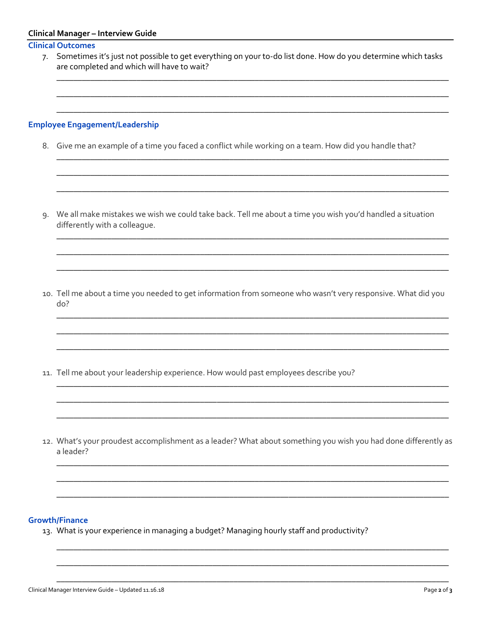| <b>Clinical Manager - Interview Guide</b> |  |  |
|-------------------------------------------|--|--|
|-------------------------------------------|--|--|

## **Clinical Outcomes**

| 7. | Sometimes it's just not possible to get everything on your to-do list done. How do you determine which tasks<br>are completed and which will have to wait? |  |  |  |  |
|----|------------------------------------------------------------------------------------------------------------------------------------------------------------|--|--|--|--|
|    | <b>Employee Engagement/Leadership</b>                                                                                                                      |  |  |  |  |
|    | 8. Give me an example of a time you faced a conflict while working on a team. How did you handle that?                                                     |  |  |  |  |
|    |                                                                                                                                                            |  |  |  |  |
| 9. | We all make mistakes we wish we could take back. Tell me about a time you wish you'd handled a situation<br>differently with a colleague.                  |  |  |  |  |
|    |                                                                                                                                                            |  |  |  |  |
|    | 10. Tell me about a time you needed to get information from someone who wasn't very responsive. What did you<br>do?                                        |  |  |  |  |
|    |                                                                                                                                                            |  |  |  |  |
|    | 11. Tell me about your leadership experience. How would past employees describe you?                                                                       |  |  |  |  |

12. What's your proudest accomplishment as a leader? What about something you wish you had done differently as a leader?

# **Growth/Finance**

13. What is your experience in managing a budget? Managing hourly staff and productivity?